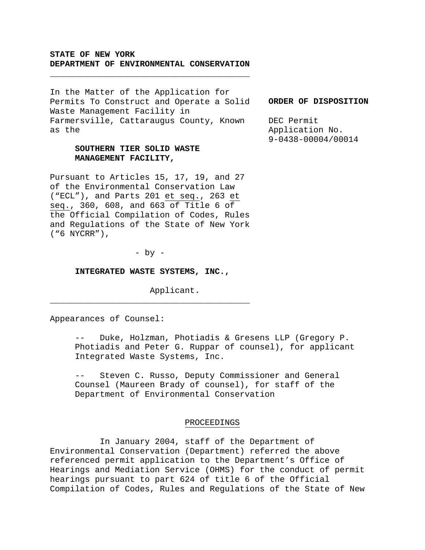## **STATE OF NEW YORK DEPARTMENT OF ENVIRONMENTAL CONSERVATION**

\_\_\_\_\_\_\_\_\_\_\_\_\_\_\_\_\_\_\_\_\_\_\_\_\_\_\_\_\_\_\_\_\_\_\_\_\_\_\_\_

In the Matter of the Application for Permits To Construct and Operate a Solid Waste Management Facility in Farmersville, Cattaraugus County, Known as the

# **SOUTHERN TIER SOLID WASTE MANAGEMENT FACILITY,**

Pursuant to Articles 15, 17, 19, and 27 of the Environmental Conservation Law ("ECL"), and Parts 201 et seq., 263 et seq., 360, 608, and 663 of Title 6 of the Official Compilation of Codes, Rules and Regulations of the State of New York ("6 NYCRR"),

 $-$  by  $-$ 

### **INTEGRATED WASTE SYSTEMS, INC.,**

\_\_\_\_\_\_\_\_\_\_\_\_\_\_\_\_\_\_\_\_\_\_\_\_\_\_\_\_\_\_\_\_\_\_\_\_\_\_\_\_

Applicant.

Appearances of Counsel:

Duke, Holzman, Photiadis & Gresens LLP (Gregory P. Photiadis and Peter G. Ruppar of counsel), for applicant Integrated Waste Systems, Inc.

-- Steven C. Russo, Deputy Commissioner and General Counsel (Maureen Brady of counsel), for staff of the Department of Environmental Conservation

## PROCEEDINGS

 In January 2004, staff of the Department of Environmental Conservation (Department) referred the above referenced permit application to the Department's Office of Hearings and Mediation Service (OHMS) for the conduct of permit hearings pursuant to part 624 of title 6 of the Official Compilation of Codes, Rules and Regulations of the State of New

### **ORDER OF DISPOSITION**

DEC Permit Application No. 9-0438-00004/00014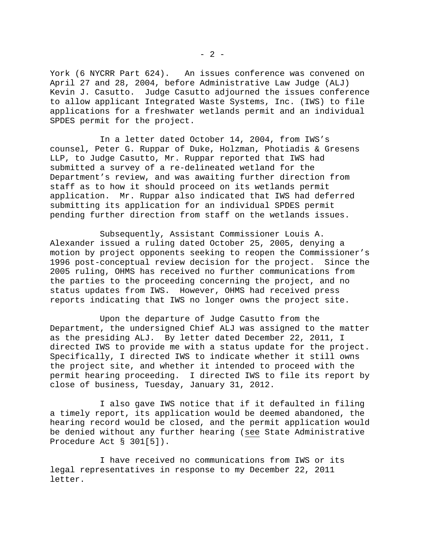York (6 NYCRR Part 624). An issues conference was convened on April 27 and 28, 2004, before Administrative Law Judge (ALJ) Kevin J. Casutto. Judge Casutto adjourned the issues conference to allow applicant Integrated Waste Systems, Inc. (IWS) to file applications for a freshwater wetlands permit and an individual SPDES permit for the project.

 In a letter dated October 14, 2004, from IWS's counsel, Peter G. Ruppar of Duke, Holzman, Photiadis & Gresens LLP, to Judge Casutto, Mr. Ruppar reported that IWS had submitted a survey of a re-delineated wetland for the Department's review, and was awaiting further direction from staff as to how it should proceed on its wetlands permit application. Mr. Ruppar also indicated that IWS had deferred submitting its application for an individual SPDES permit pending further direction from staff on the wetlands issues.

 Subsequently, Assistant Commissioner Louis A. Alexander issued a ruling dated October 25, 2005, denying a motion by project opponents seeking to reopen the Commissioner's 1996 post-conceptual review decision for the project. Since the 2005 ruling, OHMS has received no further communications from the parties to the proceeding concerning the project, and no status updates from IWS. However, OHMS had received press reports indicating that IWS no longer owns the project site.

 Upon the departure of Judge Casutto from the Department, the undersigned Chief ALJ was assigned to the matter as the presiding ALJ. By letter dated December 22, 2011, I directed IWS to provide me with a status update for the project. Specifically, I directed IWS to indicate whether it still owns the project site, and whether it intended to proceed with the permit hearing proceeding. I directed IWS to file its report by close of business, Tuesday, January 31, 2012.

 I also gave IWS notice that if it defaulted in filing a timely report, its application would be deemed abandoned, the hearing record would be closed, and the permit application would be denied without any further hearing (see State Administrative Procedure Act § 301[5]).

 I have received no communications from IWS or its legal representatives in response to my December 22, 2011 letter.